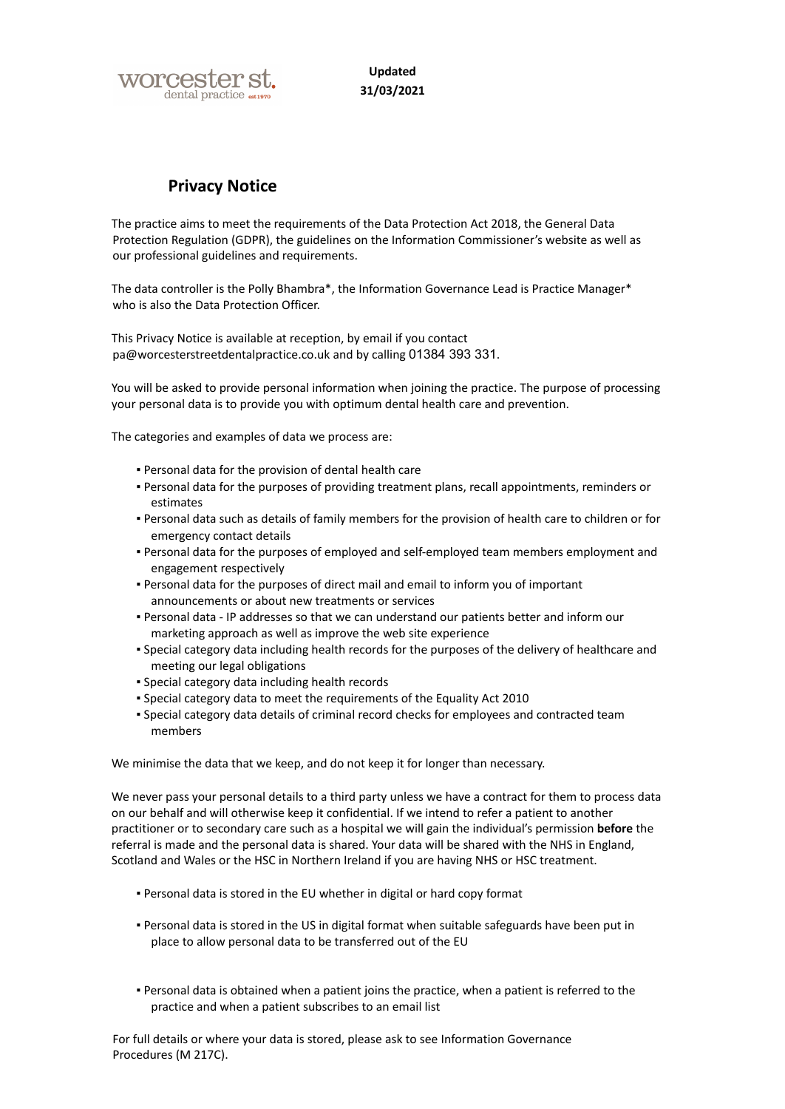

**Updated 31/03/2021**

# **Privacy Notice**

The practice aims to meet the requirements of the Data Protection Act 2018, the General Data Protection Regulation (GDPR), the guidelines on the Information Commissioner's website as well as our professional guidelines and requirements.

The data controller is the Polly Bhambra\*, the Information Governance Lead is Practice Manager\* who is also the Data Protection Officer.

This Privacy Notice is available at reception, by email if you contact pa@worcesterstreetdentalpractice.co.uk and by calling 01384 393 331.

You will be asked to provide personal information when joining the practice. The purpose of processing your personal data is to provide you with optimum dental health care and prevention.

The categories and examples of data we process are:

- Personal data for the provision of dental health care
- Personal data for the purposes of providing treatment plans, recall appointments, reminders or estimates
- Personal data such as details of family members for the provision of health care to children or for emergency contact details
- Personal data for the purposes of employed and self-employed team members employment and engagement respectively
- Personal data for the purposes of direct mail and email to inform you of important announcements or about new treatments or services
- Personal data IP addresses so that we can understand our patients better and inform our marketing approach as well as improve the web site experience
- Special category data including health records for the purposes of the delivery of healthcare and meeting our legal obligations
- Special category data including health records
- Special category data to meet the requirements of the Equality Act 2010
- Special category data details of criminal record checks for employees and contracted team members

We minimise the data that we keep, and do not keep it for longer than necessary.

We never pass your personal details to a third party unless we have a contract for them to process data on our behalf and will otherwise keep it confidential. If we intend to refer a patient to another practitioner or to secondary care such as a hospital we will gain the individual's permission **before** the referral is made and the personal data is shared. Your data will be shared with the NHS in England, Scotland and Wales or the HSC in Northern Ireland if you are having NHS or HSC treatment.

- Personal data is stored in the EU whether in digital or hard copy format
- Personal data is stored in the US in digital format when suitable safeguards have been put in place to allow personal data to be transferred out of the EU
- Personal data is obtained when a patient joins the practice, when a patient is referred to the practice and when a patient subscribes to an email list

For full details or where your data is stored, please ask to see Information Governance Procedures (M 217C).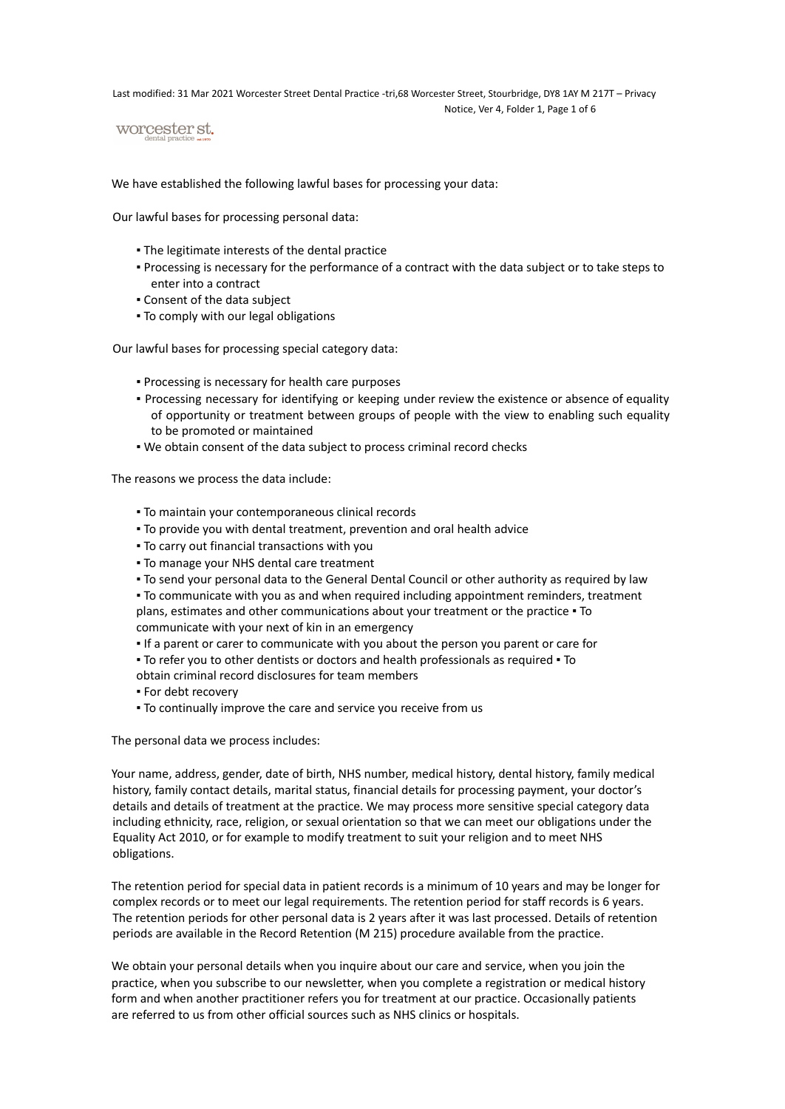Last modified: 31 Mar 2021 Worcester Street Dental Practice -tri,68 Worcester Street, Stourbridge, DY8 1AY M 217T – Privacy Notice, Ver 4, Folder 1, Page 1 of 6

worcester st.

We have established the following lawful bases for processing your data:

Our lawful bases for processing personal data:

- **The legitimate interests of the dental practice**
- Processing is necessary for the performance of a contract with the data subject or to take steps to enter into a contract
- Consent of the data subject
- To comply with our legal obligations

Our lawful bases for processing special category data:

- **Processing is necessary for health care purposes**
- Processing necessary for identifying or keeping under review the existence or absence of equality of opportunity or treatment between groups of people with the view to enabling such equality to be promoted or maintained
- We obtain consent of the data subject to process criminal record checks

The reasons we process the data include:

- To maintain your contemporaneous clinical records
- To provide you with dental treatment, prevention and oral health advice
- To carry out financial transactions with you
- **.** To manage your NHS dental care treatment
- To send your personal data to the General Dental Council or other authority as required by law

▪ To communicate with you as and when required including appointment reminders, treatment plans, estimates and other communications about your treatment or the practice . To communicate with your next of kin in an emergency

- If a parent or carer to communicate with you about the person you parent or care for
- To refer you to other dentists or doctors and health professionals as required To obtain criminal record disclosures for team members
- For debt recovery
- To continually improve the care and service you receive from us

The personal data we process includes:

Your name, address, gender, date of birth, NHS number, medical history, dental history, family medical history, family contact details, marital status, financial details for processing payment, your doctor's details and details of treatment at the practice. We may process more sensitive special category data including ethnicity, race, religion, or sexual orientation so that we can meet our obligations under the Equality Act 2010, or for example to modify treatment to suit your religion and to meet NHS obligations.

The retention period for special data in patient records is a minimum of 10 years and may be longer for complex records or to meet our legal requirements. The retention period for staff records is 6 years. The retention periods for other personal data is 2 years after it was last processed. Details of retention periods are available in the Record Retention (M 215) procedure available from the practice.

We obtain your personal details when you inquire about our care and service, when you join the practice, when you subscribe to our newsletter, when you complete a registration or medical history form and when another practitioner refers you for treatment at our practice. Occasionally patients are referred to us from other official sources such as NHS clinics or hospitals.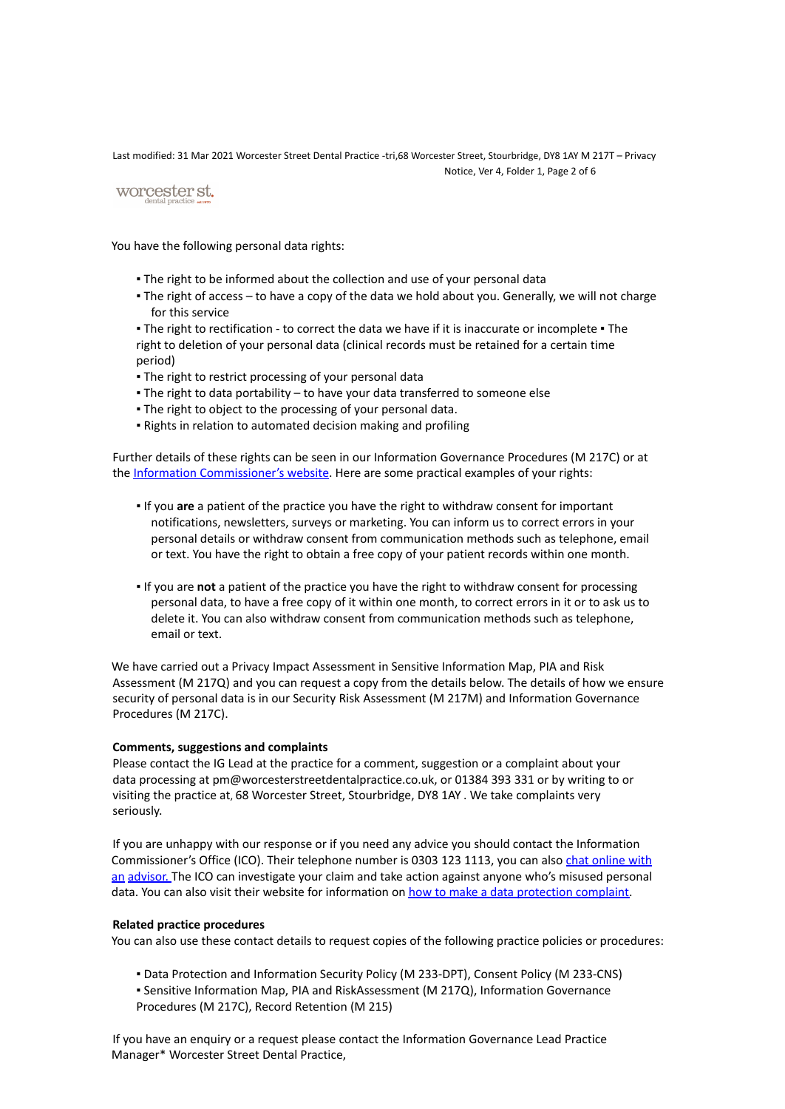Last modified: 31 Mar 2021 Worcester Street Dental Practice -tri,68 Worcester Street, Stourbridge, DY8 1AY M 217T – Privacy Notice, Ver 4, Folder 1, Page 2 of 6

# worcester st.

You have the following personal data rights:

- . The right to be informed about the collection and use of your personal data
- . The right of access to have a copy of the data we hold about you. Generally, we will not charge for this service

■ The right to rectification - to correct the data we have if it is inaccurate or incomplete ■ The right to deletion of your personal data (clinical records must be retained for a certain time period)

- The right to restrict processing of your personal data
- . The right to data portability to have your data transferred to someone else
- . The right to object to the processing of your personal data.
- **.** Rights in relation to automated decision making and profiling

Further details of these rights can be seen in our Information Governance Procedures (M 217C) or at the Information Commissioner's website. Here are some practical examples of your rights:

- If you **are** a patient of the practice you have the right to withdraw consent for important notifications, newsletters, surveys or marketing. You can inform us to correct errors in your personal details or withdraw consent from communication methods such as telephone, email or text. You have the right to obtain a free copy of your patient records within one month.
- If you are **not** a patient of the practice you have the right to withdraw consent for processing personal data, to have a free copy of it within one month, to correct errors in it or to ask us to delete it. You can also withdraw consent from communication methods such as telephone, email or text.

We have carried out a Privacy Impact Assessment in Sensitive Information Map, PIA and Risk Assessment (M 217Q) and you can request a copy from the details below. The details of how we ensure security of personal data is in our Security Risk Assessment (M 217M) and Information Governance Procedures (M 217C).

## **Comments, suggestions and complaints**

Please contact the IG Lead at the practice for a comment, suggestion or a complaint about your data processing at pm@worcesterstreetdentalpractice.co.uk, or 01384 393 331 or by writing to or visiting the practice at, 68 Worcester Street, Stourbridge, DY8 1AY . We take complaints very seriously.

If you are unhappy with our response or if you need any advice you should contact the Information Commissioner's Office (ICO). Their telephone number is 0303 123 1113, you can also chat online with an advisor. The ICO can investigate your claim and take action against anyone who's misused personal data. You can also visit their website for information on how to make a data protection complaint.

## **Related practice procedures**

You can also use these contact details to request copies of the following practice policies or procedures:

- Data Protection and Information Security Policy (M 233-DPT), Consent Policy (M 233-CNS)
- Sensitive Information Map, PIA and RiskAssessment (M 217Q), Information Governance Procedures (M 217C), Record Retention (M 215)

If you have an enquiry or a request please contact the Information Governance Lead Practice Manager\* Worcester Street Dental Practice,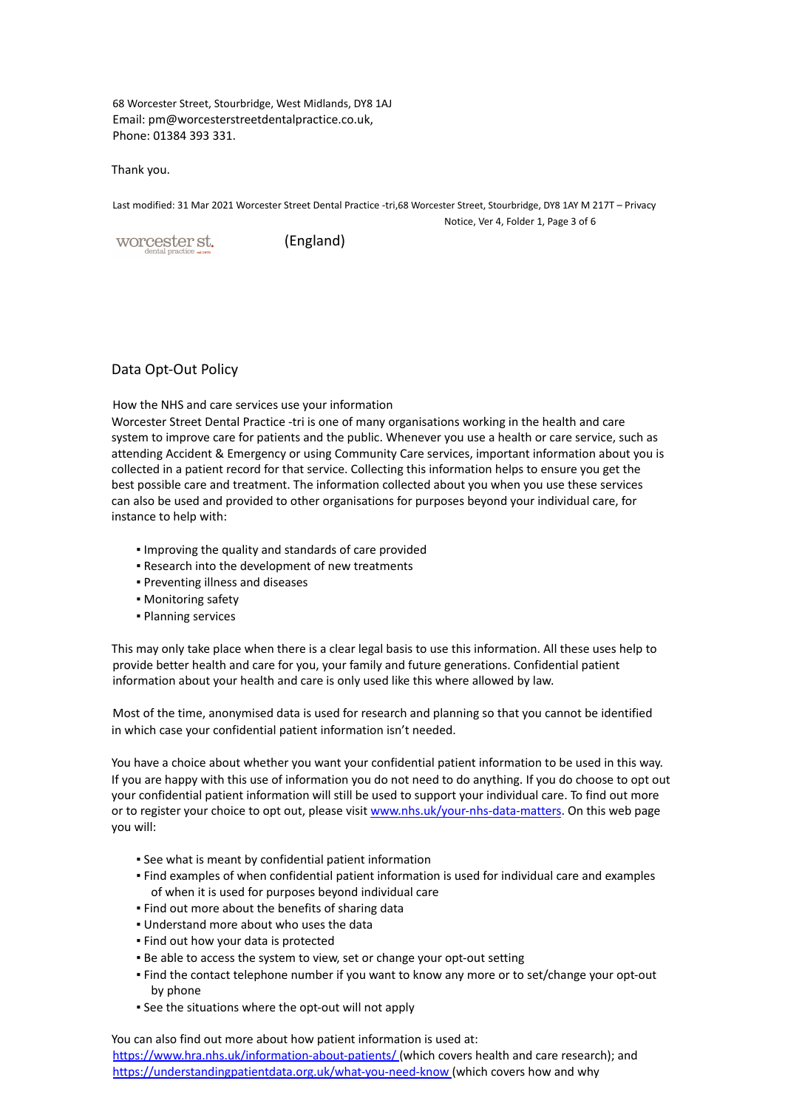68 Worcester Street, Stourbridge, West Midlands, DY8 1AJ Email: pm@worcesterstreetdentalpractice.co.uk, Phone: 01384 393 331.

Thank you.

Last modified: 31 Mar 2021 Worcester Street Dental Practice -tri,68 Worcester Street, Stourbridge, DY8 1AY M 217T – Privacy Notice, Ver 4, Folder 1, Page 3 of 6

worcester st.

(England)

## Data Opt-Out Policy

How the NHS and care services use your information

Worcester Street Dental Practice -tri is one of many organisations working in the health and care system to improve care for patients and the public. Whenever you use a health or care service, such as attending Accident & Emergency or using Community Care services, important information about you is collected in a patient record for that service. Collecting this information helps to ensure you get the best possible care and treatment. The information collected about you when you use these services can also be used and provided to other organisations for purposes beyond your individual care, for instance to help with:

- Improving the quality and standards of care provided
- **.** Research into the development of new treatments
- Preventing illness and diseases
- Monitoring safety
- Planning services

This may only take place when there is a clear legal basis to use this information. All these uses help to provide better health and care for you, your family and future generations. Confidential patient information about your health and care is only used like this where allowed by law.

Most of the time, anonymised data is used for research and planning so that you cannot be identified in which case your confidential patient information isn't needed.

You have a choice about whether you want your confidential patient information to be used in this way. If you are happy with this use of information you do not need to do anything. If you do choose to opt out your confidential patient information will still be used to support your individual care. To find out more or to register your choice to opt out, please visit www.nhs.uk/your-nhs-data-matters. On this web page you will:

- See what is meant by confidential patient information
- Find examples of when confidential patient information is used for individual care and examples of when it is used for purposes beyond individual care
- **.** Find out more about the benefits of sharing data
- **.** Understand more about who uses the data
- **.** Find out how your data is protected
- **Be able to access the system to view, set or change your opt-out setting**
- Find the contact telephone number if you want to know any more or to set/change your opt-out by phone
- See the situations where the opt-out will not apply

You can also find out more about how patient information is used at: https://www.hra.nhs.uk/information-about-patients/ (which covers health and care research); and https://understandingpatientdata.org.uk/what-you-need-know (which covers how and why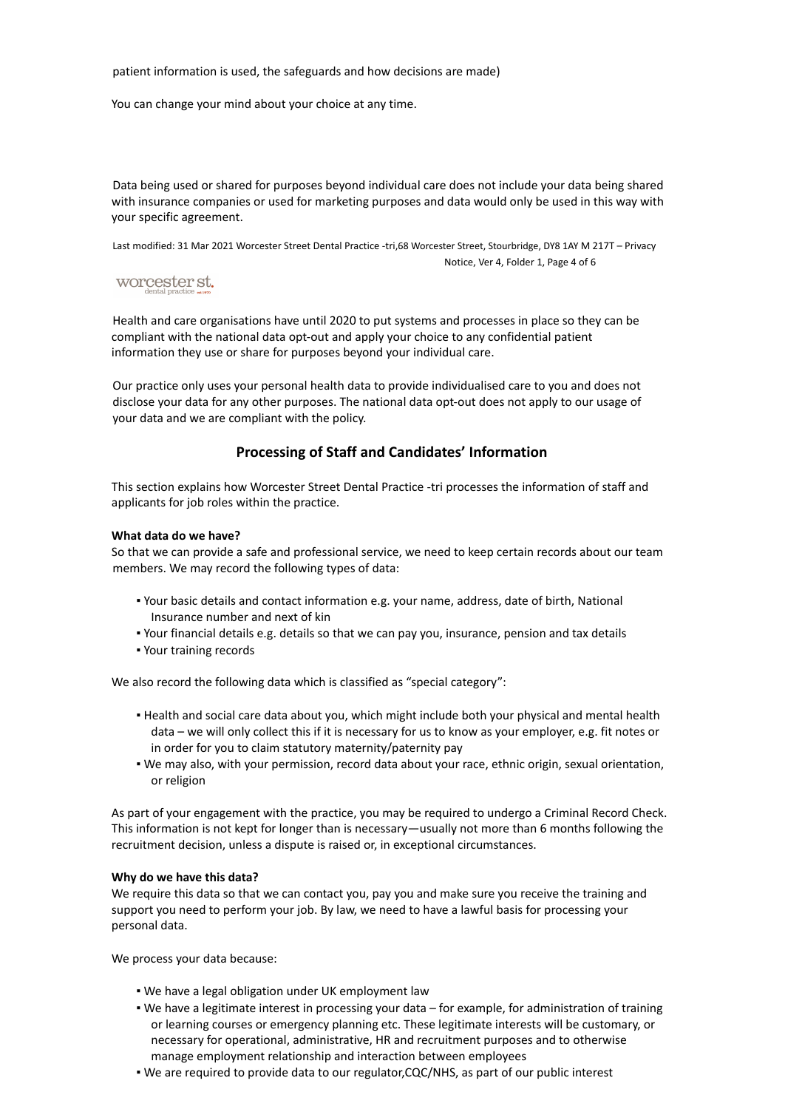#### patient information is used, the safeguards and how decisions are made)

You can change your mind about your choice at any time.

Data being used or shared for purposes beyond individual care does not include your data being shared with insurance companies or used for marketing purposes and data would only be used in this way with your specific agreement.

Last modified: 31 Mar 2021 Worcester Street Dental Practice -tri,68 Worcester Street, Stourbridge, DY8 1AY M 217T – Privacy Notice, Ver 4, Folder 1, Page 4 of 6

# worcester st.

Health and care organisations have until 2020 to put systems and processes in place so they can be compliant with the national data opt-out and apply your choice to any confidential patient information they use or share for purposes beyond your individual care.

Our practice only uses your personal health data to provide individualised care to you and does not disclose your data for any other purposes. The national data opt-out does not apply to our usage of your data and we are compliant with the policy.

# **Processing of Staff and Candidates' Information**

This section explains how Worcester Street Dental Practice -tri processes the information of staff and applicants for job roles within the practice.

#### **What data do we have?**

So that we can provide a safe and professional service, we need to keep certain records about our team members. We may record the following types of data:

- Your basic details and contact information e.g. your name, address, date of birth, National Insurance number and next of kin
- Your financial details e.g. details so that we can pay you, insurance, pension and tax details
- Your training records

We also record the following data which is classified as "special category":

- Health and social care data about you, which might include both your physical and mental health data – we will only collect this if it is necessary for us to know as your employer, e.g. fit notes or in order for you to claim statutory maternity/paternity pay
- We may also, with your permission, record data about your race, ethnic origin, sexual orientation, or religion

As part of your engagement with the practice, you may be required to undergo a Criminal Record Check. This information is not kept for longer than is necessary—usually not more than 6 months following the recruitment decision, unless a dispute is raised or, in exceptional circumstances.

### **Why do we have this data?**

We require this data so that we can contact you, pay you and make sure you receive the training and support you need to perform your job. By law, we need to have a lawful basis for processing your personal data.

We process your data because:

- . We have a legal obligation under UK employment law
- We have a legitimate interest in processing your data for example, for administration of training or learning courses or emergency planning etc. These legitimate interests will be customary, or necessary for operational, administrative, HR and recruitment purposes and to otherwise manage employment relationship and interaction between employees
- We are required to provide data to our regulator,CQC/NHS, as part of our public interest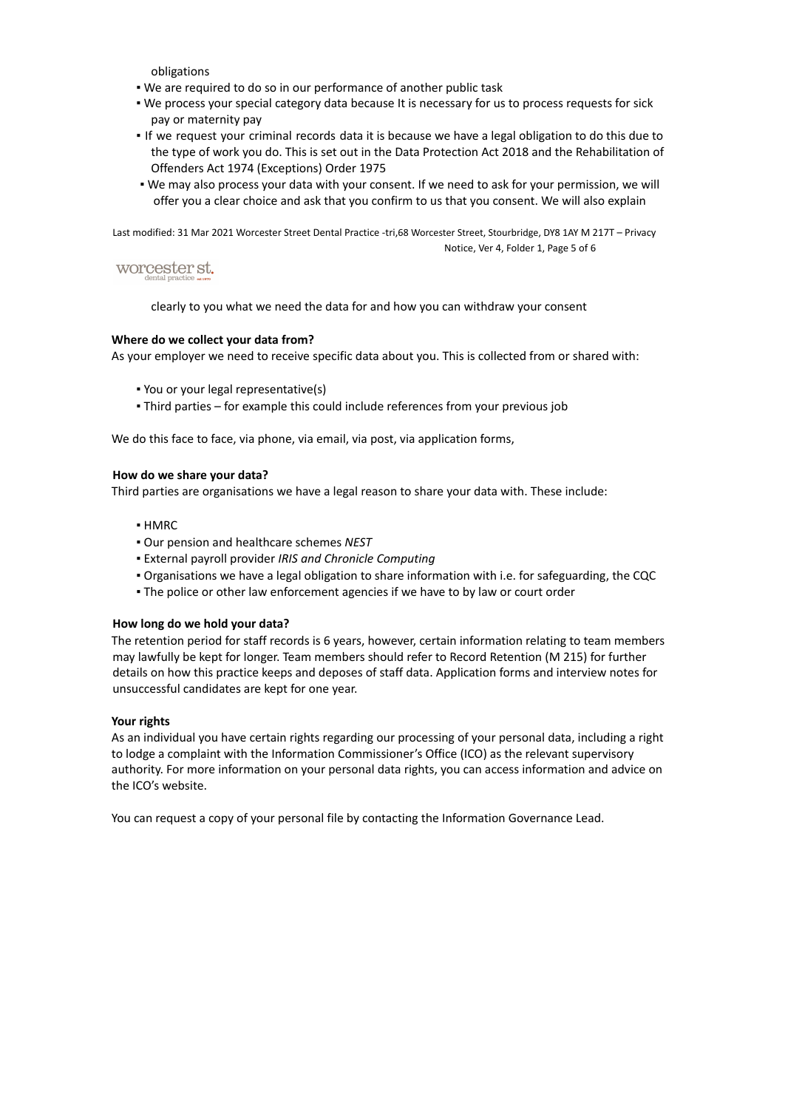obligations

- We are required to do so in our performance of another public task
- We process your special category data because It is necessary for us to process requests for sick pay or maternity pay
- If we request your criminal records data it is because we have a legal obligation to do this due to the type of work you do. This is set out in the Data Protection Act 2018 and the Rehabilitation of Offenders Act 1974 (Exceptions) Order 1975
- We may also process your data with your consent. If we need to ask for your permission, we will offer you a clear choice and ask that you confirm to us that you consent. We will also explain

Last modified: 31 Mar 2021 Worcester Street Dental Practice -tri,68 Worcester Street, Stourbridge, DY8 1AY M 217T – Privacy Notice, Ver 4, Folder 1, Page 5 of 6

# worcester st.

clearly to you what we need the data for and how you can withdraw your consent

## **Where do we collect your data from?**

As your employer we need to receive specific data about you. This is collected from or shared with:

- You or your legal representative(s)
- Third parties for example this could include references from your previous job

We do this face to face, via phone, via email, via post, via application forms,

## **How do we share your data?**

Third parties are organisations we have a legal reason to share your data with. These include:

- HMRC
- Our pension and healthcare schemes *NEST*
- External payroll provider *IRIS and Chronicle Computing*
- Organisations we have a legal obligation to share information with i.e. for safeguarding, the CQC
- . The police or other law enforcement agencies if we have to by law or court order

#### **How long do we hold your data?**

The retention period for staff records is 6 years, however, certain information relating to team members may lawfully be kept for longer. Team members should refer to Record Retention (M 215) for further details on how this practice keeps and deposes of staff data. Application forms and interview notes for unsuccessful candidates are kept for one year.

#### **Your rights**

As an individual you have certain rights regarding our processing of your personal data, including a right to lodge a complaint with the Information Commissioner's Office (ICO) as the relevant supervisory authority. For more information on your personal data rights, you can access information and advice on the ICO's website.

You can request a copy of your personal file by contacting the Information Governance Lead.